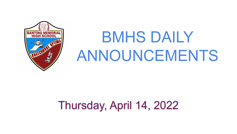

# BMHS DAILY ANNOUNCEMENTS

# Thursday, April 14, 2022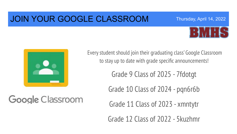## JOIN YOUR GOOGLE CLASSROOM







Every student should join their graduating class' Google Classroom to stay up to date with grade specific announcements!

Grade 9 Class of 2025 - 7fdotgt

Grade 10 Class of 2024 - pqn6r6b

Google Classroom

Grade 11 Class of 2023 - xmntytr

Grade 12 Class of 2022 - 5kuzhmr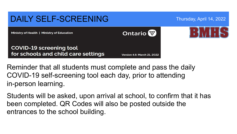

Reminder that all students must complete and pass the daily COVID-19 self-screening tool each day, prior to attending in-person learning.

Students will be asked, upon arrival at school, to confirm that it has been completed. QR Codes will also be posted outside the entrances to the school building.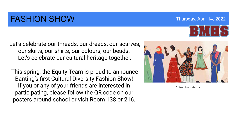## FASHION SHOW Thursday, April 14, 2022

Let's celebrate our threads, our dreads, our scarves, our skirts, our shirts, our colours, our beads. Let's celebrate our cultural heritage together.

 This spring, the Equity Team is proud to announce Banting's first Cultural Diversity Fashion Show! If you or any of your friends are interested in participating, please follow the QR code on our posters around school or visit Room 138 or 216.



Photo credit:eventbrite.com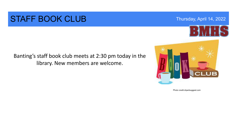### STAFF BOOK CLUB Thursday, April 14, 2022



### Banting's staff book club meets at 2:30 pm today in the library. New members are welcome.



Photo credit:clipartsuggest.com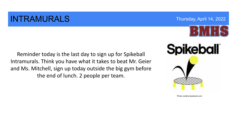### **INTRAMURALS** Thursday, April 14, 2022



Reminder today is the last day to sign up for Spikeball Intramurals. Think you have what it takes to beat Mr. Geier and Ms. Mitchell, sign up today outside the big gym before the end of lunch. 2 people per team.



Photo credit:p.facebook.com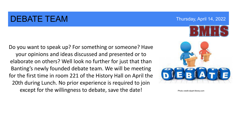### DEBATE TEAM THE TEAM Thursday, April 14, 2022

Do you want to speak up? For something or someone? Have your opinions and ideas discussed and presented or to elaborate on others? Well look no further for just that than Banting's newly founded debate team. We will be meeting for the first time in room 221 of the History Hall on April the 20th during Lunch. No prior experience is required to join except for the willingness to debate, save the date!



Photo credit:clipart-library.com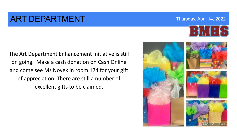### **ART DEPARTMENT Thursday, April 14, 2022**

The Art Department Enhancement Initiative is still on going. Make a cash donation on Cash Online and come see Ms Novek in room 174 for your gift of appreciation. There are still a number of excellent gifts to be claimed.



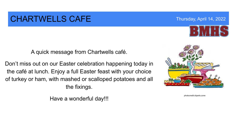### CHARTWELLS CAFE Thursday, April 14, 2022

A quick message from Chartwells café.

Don't miss out on our Easter celebration happening today in the café at lunch. Enjoy a full Easter feast with your choice of turkey or ham, with mashed or scalloped potatoes and all the fixings.

Have a wonderful day!!!



photocredit:cliparts.zone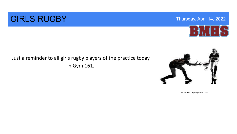

## **GIRLS RUGBY** Thursday, April 14, 2022

### Just a reminder to all girls rugby players of the practice today in Gym 161.



photocredit:depositphotos.com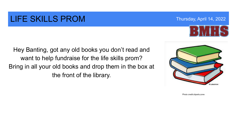## LIFE SKILLS PROM Thursday, April 14, 2022

Hey Banting, got any old books you don't read and want to help fundraise for the life skills prom? Bring in all your old books and drop them in the box at the front of the library.



Photo credit:cliparts.zone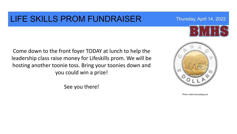### LIFE SKILLS PROM FUNDRAISER Thursday, April 14, 2022

Come down to the front foyer TODAY at lunch to help the leadership class raise money for Lifeskills prom. We will be hosting another toonie toss. Bring your toonies down and you could win a prize!

See you there!

Photo credit:coinscatalog.net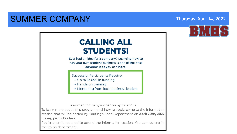### SUMMER COMPANY Thursday, April 14, 2022



Ever had an idea for a company? Learning how to run your own student business is one of the best summer jobs you can have.

Successful Participants Receive:

- Up to \$3,000 in funding
- Hands-on training
- Mentoring from local business leaders

Summer Company is open for applications

To learn more about this program and how to apply, come to the information session that will be hosted by Banting's Coop Department on April 20th, 2022 during period 2 class.

Registration is required to attend the information session. You can register in the Co-op department.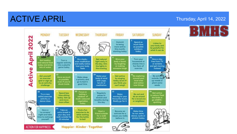# ACTIVE APRIL Thursday, April 14, 2022